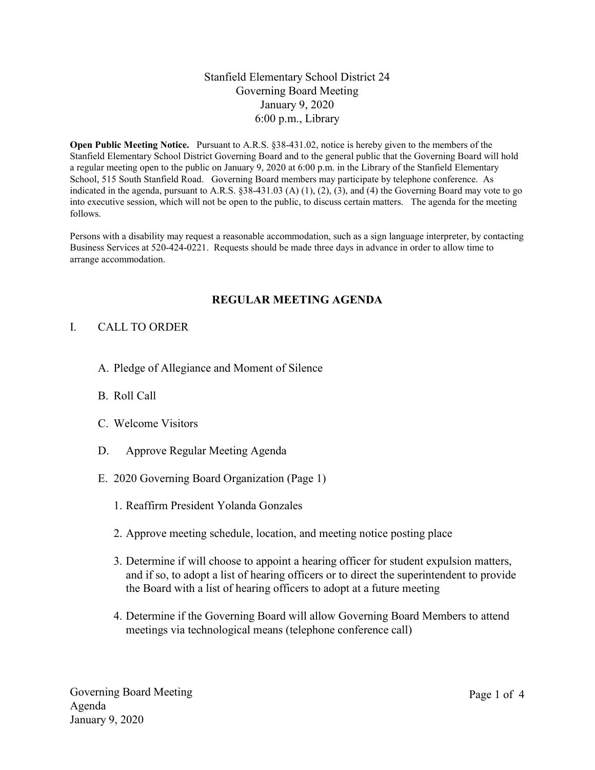## Stanfield Elementary School District 24 Governing Board Meeting January 9, 2020 6:00 p.m., Library

Open Public Meeting Notice. Pursuant to A.R.S. §38-431.02, notice is hereby given to the members of the Stanfield Elementary School District Governing Board and to the general public that the Governing Board will hold a regular meeting open to the public on January 9, 2020 at 6:00 p.m. in the Library of the Stanfield Elementary School, 515 South Stanfield Road. Governing Board members may participate by telephone conference. As indicated in the agenda, pursuant to A.R.S. §38-431.03 (A) (1), (2), (3), and (4) the Governing Board may vote to go into executive session, which will not be open to the public, to discuss certain matters. The agenda for the meeting follows.

Persons with a disability may request a reasonable accommodation, such as a sign language interpreter, by contacting Business Services at 520-424-0221. Requests should be made three days in advance in order to allow time to arrange accommodation.

#### REGULAR MEETING AGENDA

#### I. CALL TO ORDER

- A. Pledge of Allegiance and Moment of Silence
- B. Roll Call
- C. Welcome Visitors
- D. Approve Regular Meeting Agenda
- E. 2020 Governing Board Organization (Page 1)
	- 1. Reaffirm President Yolanda Gonzales
	- 2. Approve meeting schedule, location, and meeting notice posting place
	- 3. Determine if will choose to appoint a hearing officer for student expulsion matters, and if so, to adopt a list of hearing officers or to direct the superintendent to provide the Board with a list of hearing officers to adopt at a future meeting
	- 4. Determine if the Governing Board will allow Governing Board Members to attend meetings via technological means (telephone conference call)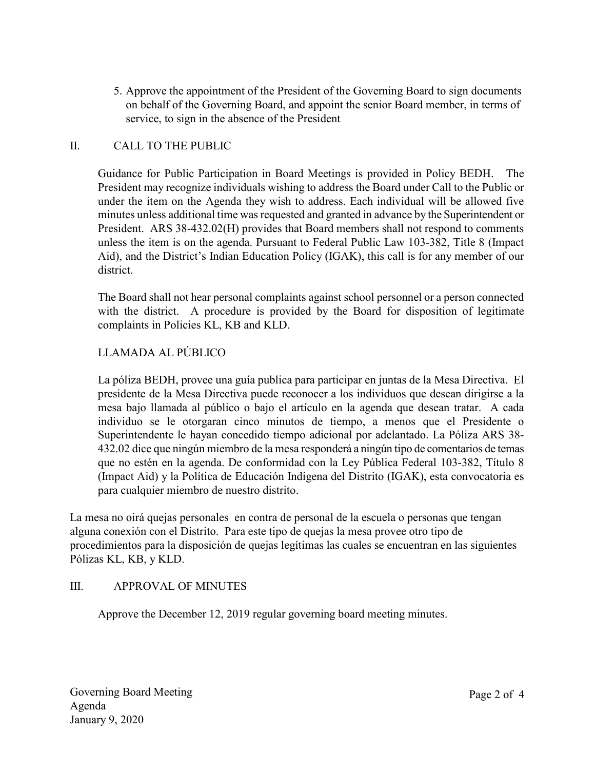5. Approve the appointment of the President of the Governing Board to sign documents on behalf of the Governing Board, and appoint the senior Board member, in terms of service, to sign in the absence of the President

## II. CALL TO THE PUBLIC

Guidance for Public Participation in Board Meetings is provided in Policy BEDH. The President may recognize individuals wishing to address the Board under Call to the Public or under the item on the Agenda they wish to address. Each individual will be allowed five minutes unless additional time was requested and granted in advance by the Superintendent or President. ARS 38-432.02(H) provides that Board members shall not respond to comments unless the item is on the agenda. Pursuant to Federal Public Law 103-382, Title 8 (Impact Aid), and the District's Indian Education Policy (IGAK), this call is for any member of our district.

The Board shall not hear personal complaints against school personnel or a person connected with the district. A procedure is provided by the Board for disposition of legitimate complaints in Policies KL, KB and KLD.

# LLAMADA AL PÚBLICO

La póliza BEDH, provee una guía publica para participar en juntas de la Mesa Directiva. El presidente de la Mesa Directiva puede reconocer a los individuos que desean dirigirse a la mesa bajo llamada al público o bajo el artículo en la agenda que desean tratar. A cada individuo se le otorgaran cinco minutos de tiempo, a menos que el Presidente o Superintendente le hayan concedido tiempo adicional por adelantado. La Póliza ARS 38- 432.02 dice que ningún miembro de la mesa responderá a ningún tipo de comentarios de temas que no estén en la agenda. De conformidad con la Ley Pública Federal 103-382, Título 8 (Impact Aid) y la Política de Educación Indígena del Distrito (IGAK), esta convocatoria es para cualquier miembro de nuestro distrito.

La mesa no oirá quejas personales en contra de personal de la escuela o personas que tengan alguna conexión con el Distrito. Para este tipo de quejas la mesa provee otro tipo de procedimientos para la disposición de quejas legítimas las cuales se encuentran en las siguientes Pólizas KL, KB, y KLD.

## III. APPROVAL OF MINUTES

Approve the December 12, 2019 regular governing board meeting minutes.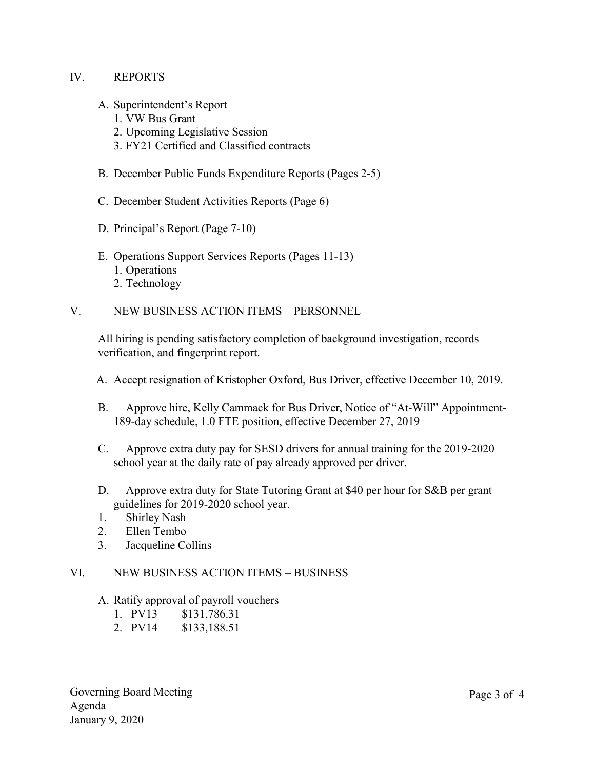#### IV. REPORTS

- A. Superintendent's Report
	- 1. VW Bus Grant
	- 2. Upcoming Legislative Session
	- 3. FY21 Certified and Classified contracts
- B. December Public Funds Expenditure Reports (Pages 2-5)
- C. December Student Activities Reports (Page 6)
- D. Principal's Report (Page 7-10)
- E. Operations Support Services Reports (Pages 11-13) 1. Operations 2. Technology

### V. NEW BUSINESS ACTION ITEMS – PERSONNEL

All hiring is pending satisfactory completion of background investigation, records verification, and fingerprint report.

- A. Accept resignation of Kristopher Oxford, Bus Driver, effective December 10, 2019.
- B. Approve hire, Kelly Cammack for Bus Driver, Notice of "At-Will" Appointment-189-day schedule, 1.0 FTE position, effective December 27, 2019
- C. Approve extra duty pay for SESD drivers for annual training for the 2019-2020 school year at the daily rate of pay already approved per driver.
- D. Approve extra duty for State Tutoring Grant at \$40 per hour for S&B per grant guidelines for 2019-2020 school year.
- 1. Shirley Nash
- 2. Ellen Tembo
- 3. Jacqueline Collins

#### VI. NEW BUSINESS ACTION ITEMS – BUSINESS

A. Ratify approval of payroll vouchers

1. PV13 \$131,786.31

2. PV14 \$133,188.51